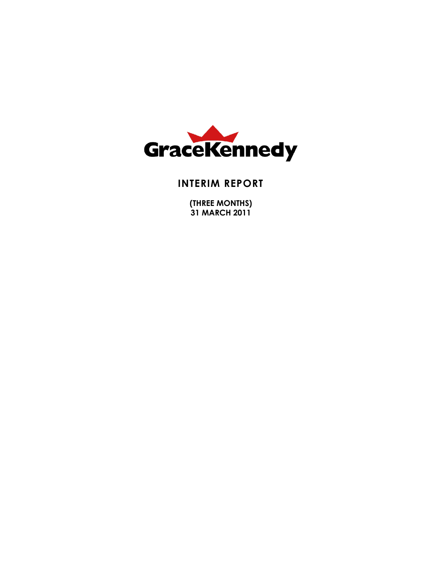

## **INTERIM REPORT**

**(THREE MONTHS) 31 MARCH 2011**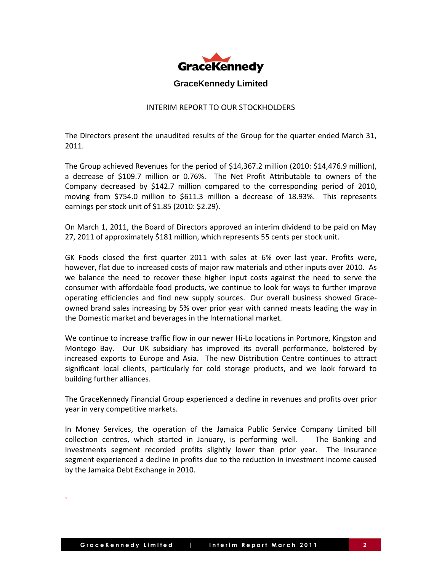

#### INTERIM REPORT TO OUR STOCKHOLDERS

The Directors present the unaudited results of the Group for the quarter ended March 31, 2011.

The Group achieved Revenues for the period of \$14,367.2 million (2010: \$14,476.9 million), a decrease of \$109.7 million or 0.76%. The Net Profit Attributable to owners of the Company decreased by \$142.7 million compared to the corresponding period of 2010, moving from \$754.0 million to \$611.3 million a decrease of 18.93%. This represents earnings per stock unit of \$1.85 (2010: \$2.29).

On March 1, 2011, the Board of Directors approved an interim dividend to be paid on May 27, 2011 of approximately \$181 million, which represents 55 cents per stock unit.

GK Foods closed the first quarter 2011 with sales at 6% over last year. Profits were, however, flat due to increased costs of major raw materials and other inputs over 2010. As we balance the need to recover these higher input costs against the need to serve the consumer with affordable food products, we continue to look for ways to further improve operating efficiencies and find new supply sources. Our overall business showed Graceowned brand sales increasing by 5% over prior year with canned meats leading the way in the Domestic market and beverages in the International market.

We continue to increase traffic flow in our newer Hi-Lo locations in Portmore, Kingston and Montego Bay. Our UK subsidiary has improved its overall performance, bolstered by increased exports to Europe and Asia. The new Distribution Centre continues to attract significant local clients, particularly for cold storage products, and we look forward to building further alliances.

The GraceKennedy Financial Group experienced a decline in revenues and profits over prior year in very competitive markets.

In Money Services, the operation of the Jamaica Public Service Company Limited bill collection centres, which started in January, is performing well. The Banking and Investments segment recorded profits slightly lower than prior year. The Insurance segment experienced a decline in profits due to the reduction in investment income caused by the Jamaica Debt Exchange in 2010.

`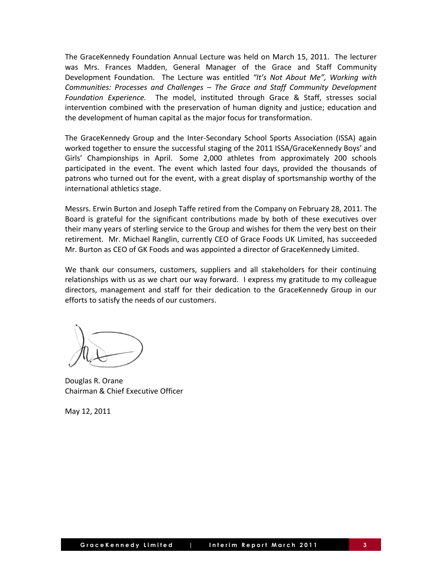The GraceKennedy Foundation Annual Lecture was held on March 15, 2011. The lecturer was Mrs. Frances Madden, General Manager of the Grace and Staff Community Development Foundation. The Lecture was entitled *"It's Not About Me", Working with Communities: Processes and Challenges – The Grace and Staff Community Development Foundation Experience.* The model, instituted through Grace & Staff, stresses social intervention combined with the preservation of human dignity and justice; education and the development of human capital as the major focus for transformation.

The GraceKennedy Group and the Inter-Secondary School Sports Association (ISSA) again worked together to ensure the successful staging of the 2011 ISSA/GraceKennedy Boys' and Girls' Championships in April. Some 2,000 athletes from approximately 200 schools participated in the event. The event which lasted four days, provided the thousands of patrons who turned out for the event, with a great display of sportsmanship worthy of the international athletics stage.

Messrs. Erwin Burton and Joseph Taffe retired from the Company on February 28, 2011. The Board is grateful for the significant contributions made by both of these executives over their many years of sterling service to the Group and wishes for them the very best on their retirement. Mr. Michael Ranglin, currently CEO of Grace Foods UK Limited, has succeeded Mr. Burton as CEO of GK Foods and was appointed a director of GraceKennedy Limited.

We thank our consumers, customers, suppliers and all stakeholders for their continuing relationships with us as we chart our way forward. I express my gratitude to my colleague directors, management and staff for their dedication to the GraceKennedy Group in our efforts to satisfy the needs of our customers.

Douglas R. Orane Chairman & Chief Executive Officer

May 12, 2011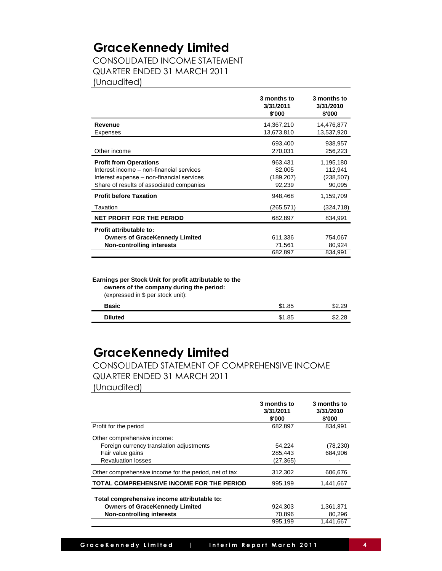CONSOLIDATED INCOME STATEMENT QUARTER ENDED 31 MARCH 2011 (Unaudited)

|                                                                                                                                                                    | 3 months to<br>3/31/2011<br>\$'000        | 3 months to<br>3/31/2010<br>\$'000           |
|--------------------------------------------------------------------------------------------------------------------------------------------------------------------|-------------------------------------------|----------------------------------------------|
| Revenue                                                                                                                                                            | 14,367,210                                | 14,476,877                                   |
| Expenses                                                                                                                                                           | 13,673,810                                | 13,537,920                                   |
| Other income                                                                                                                                                       | 693,400<br>270,031                        | 938,957<br>256,223                           |
| <b>Profit from Operations</b><br>Interest income - non-financial services<br>Interest expense – non-financial services<br>Share of results of associated companies | 963,431<br>82,005<br>(189, 207)<br>92,239 | 1,195,180<br>112,941<br>(238, 507)<br>90,095 |
| <b>Profit before Taxation</b>                                                                                                                                      | 948,468                                   | 1,159,709                                    |
| Taxation                                                                                                                                                           | (265,571)                                 | (324,718)                                    |
| <b>NET PROFIT FOR THE PERIOD</b>                                                                                                                                   | 682,897                                   | 834,991                                      |
| Profit attributable to:<br><b>Owners of GraceKennedy Limited</b><br><b>Non-controlling interests</b>                                                               | 611,336<br>71,561                         | 754,067<br>80,924                            |
|                                                                                                                                                                    | 682,897                                   | 834,991                                      |

**Earnings per Stock Unit for profit attributable to the owners of the company during the period:** (expressed in \$ per stock unit):

| <b>Basic</b>   | \$1.85 | \$2.29 |
|----------------|--------|--------|
| <b>Diluted</b> | \$1.85 | \$2.28 |

## **GraceKennedy Limited**

CONSOLIDATED STATEMENT OF COMPREHENSIVE INCOME QUARTER ENDED 31 MARCH 2011

(Unaudited)

|                                                                                                                          | 3 months to<br>3/31/2011<br>\$'000 | 3 months to<br>3/31/2010<br>\$'000 |
|--------------------------------------------------------------------------------------------------------------------------|------------------------------------|------------------------------------|
| Profit for the period                                                                                                    | 682,897                            | 834,991                            |
| Other comprehensive income:<br>Foreign currency translation adjustments<br>Fair value gains<br><b>Revaluation losses</b> | 54,224<br>285,443<br>(27, 365)     | (78, 230)<br>684.906               |
| Other comprehensive income for the period, net of tax                                                                    | 312,302                            | 606,676                            |
| TOTAL COMPREHENSIVE INCOME FOR THE PERIOD                                                                                | 995,199                            | 1,441,667                          |
| Total comprehensive income attributable to:<br><b>Owners of GraceKennedy Limited</b><br>Non-controlling interests        | 924,303<br>70,896                  | 1,361,371<br>80,296                |
|                                                                                                                          | 995,199                            | 1,441,667                          |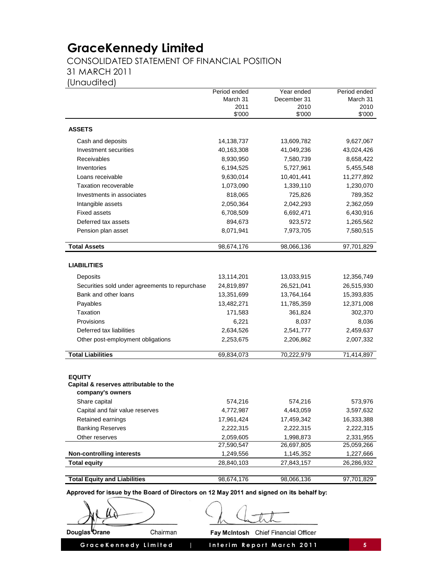CONSOLIDATED STATEMENT OF FINANCIAL POSITION

31 MARCH 2011

(Unaudited)

|                                                | Period ended   | Year ended     | Period ended   |
|------------------------------------------------|----------------|----------------|----------------|
|                                                | March 31       | December 31    | March 31       |
|                                                | 2011<br>\$'000 | 2010<br>\$'000 | 2010<br>\$'000 |
|                                                |                |                |                |
| <b>ASSETS</b>                                  |                |                |                |
| Cash and deposits                              | 14,138,737     | 13,609,782     | 9,627,067      |
| Investment securities                          | 40,163,308     | 41,049,236     | 43,024,426     |
| Receivables                                    | 8,930,950      | 7,580,739      | 8,658,422      |
| Inventories                                    | 6,194,525      | 5,727,961      | 5,455,548      |
| Loans receivable                               | 9,630,014      | 10,401,441     | 11,277,892     |
| Taxation recoverable                           | 1,073,090      | 1,339,110      | 1,230,070      |
| Investments in associates                      | 818,065        | 725,826        | 789,352        |
| Intangible assets                              | 2,050,364      | 2,042,293      | 2,362,059      |
| <b>Fixed assets</b>                            | 6,708,509      | 6,692,471      | 6,430,916      |
| Deferred tax assets                            | 894,673        | 923,572        | 1,265,562      |
| Pension plan asset                             | 8,071,941      | 7,973,705      | 7,580,515      |
|                                                |                |                |                |
| <b>Total Assets</b>                            | 98,674,176     | 98,066,136     | 97,701,829     |
|                                                |                |                |                |
| <b>LIABILITIES</b>                             |                |                |                |
| Deposits                                       | 13,114,201     | 13,033,915     | 12,356,749     |
| Securities sold under agreements to repurchase | 24,819,897     | 26,521,041     | 26,515,930     |
| Bank and other loans                           | 13,351,699     | 13,764,164     | 15,393,835     |
| Payables                                       | 13,482,271     | 11,785,359     | 12,371,008     |
| Taxation                                       | 171,583        | 361,824        | 302,370        |
| Provisions                                     | 6,221          | 8,037          | 8,036          |
| Deferred tax liabilities                       | 2,634,526      | 2,541,777      | 2,459,637      |
| Other post-employment obligations              | 2,253,675      | 2,206,862      | 2,007,332      |
|                                                |                |                |                |
| <b>Total Liabilities</b>                       | 69,834,073     | 70,222,979     | 71,414,897     |
|                                                |                |                |                |
| <b>EQUITY</b>                                  |                |                |                |
| Capital & reserves attributable to the         |                |                |                |
| company's owners                               |                |                |                |
| Share capital                                  | 574,216        | 574,216        | 573,976        |
| Capital and fair value reserves                | 4,772,987      | 4,443,059      | 3,597,632      |
| Retained earnings                              | 17,961,424     | 17,459,342     | 16,333,388     |
| <b>Banking Reserves</b>                        | 2,222,315      | 2,222,315      | 2,222,315      |
| Other reserves                                 | 2,059,605      | 1,998,873      | 2,331,955      |
|                                                | 27,590,547     | 26,697,805     | 25,059,266     |
| <b>Non-controlling interests</b>               | 1,249,556      | 1,145,352      | 1,227,666      |
| <b>Total equity</b>                            | 28,840,103     | 27,843,157     | 26,286,932     |
| <b>Total Equity and Liabilities</b>            | 98,674,176     | 98,066,136     | 97,701,829     |
|                                                |                |                |                |

Approved for issue by the Board of Directors on 12 May 2011 and signed on its behalf by:

Douglas Orane Chairman

Fay McIntosh Chief Financial Officer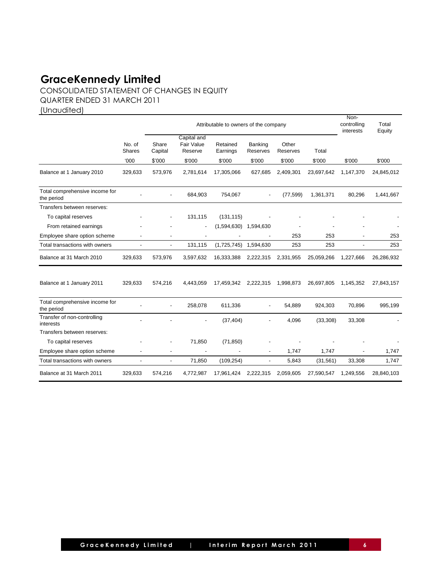CONSOLIDATED STATEMENT OF CHANGES IN EQUITY QUARTER ENDED 31 MARCH 2011

(Unaudited)

|                                              |                          | Attributable to owners of the company |                                      |                      |                          |                   | Non-<br>controlling<br>interests | Total<br>Equity |            |
|----------------------------------------------|--------------------------|---------------------------------------|--------------------------------------|----------------------|--------------------------|-------------------|----------------------------------|-----------------|------------|
|                                              | No. of<br>Shares         | Share<br>Capital                      | Capital and<br>Fair Value<br>Reserve | Retained<br>Earnings | Banking<br>Reserves      | Other<br>Reserves | Total                            |                 |            |
|                                              | '000                     | \$'000                                | \$'000                               | \$'000               | \$'000                   | \$'000            | \$'000                           | \$'000          | \$'000     |
| Balance at 1 January 2010                    | 329,633                  | 573,976                               | 2,781,614                            | 17,305,066           | 627,685                  | 2,409,301         | 23,697,642                       | 1,147,370       | 24,845,012 |
| Total comprehensive income for<br>the period |                          |                                       | 684,903                              | 754,067              |                          | (77, 599)         | 1,361,371                        | 80,296          | 1,441,667  |
| Transfers between reserves:                  |                          |                                       |                                      |                      |                          |                   |                                  |                 |            |
| To capital reserves                          |                          |                                       | 131,115                              | (131, 115)           |                          |                   |                                  |                 |            |
| From retained earnings                       |                          |                                       | $\blacksquare$                       | (1,594,630)          | 1,594,630                |                   |                                  |                 |            |
| Employee share option scheme                 | ÷,                       |                                       | ÷,                                   |                      |                          | 253               | 253                              |                 | 253        |
| Total transactions with owners               |                          |                                       | 131,115                              | (1,725,745)          | 1,594,630                | 253               | 253                              |                 | 253        |
| Balance at 31 March 2010                     | 329,633                  | 573,976                               | 3,597,632                            | 16,333,388           | 2,222,315                | 2,331,955         | 25,059,266                       | 1,227,666       | 26,286,932 |
| Balance at 1 January 2011                    | 329,633                  | 574,216                               | 4,443,059                            | 17,459,342           | 2,222,315                | 1,998,873         | 26,697,805                       | 1,145,352       | 27,843,157 |
| Total comprehensive income for<br>the period |                          |                                       | 258,078                              | 611,336              |                          | 54,889            | 924,303                          | 70,896          | 995,199    |
| Transfer of non-controlling<br>interests     |                          |                                       |                                      | (37, 404)            |                          | 4,096             | (33,308)                         | 33,308          |            |
| Transfers between reserves:                  |                          |                                       |                                      |                      |                          |                   |                                  |                 |            |
| To capital reserves                          |                          |                                       | 71,850                               | (71, 850)            |                          |                   |                                  |                 |            |
| Employee share option scheme                 |                          |                                       |                                      |                      | $\overline{a}$           | 1,747             | 1,747                            |                 | 1,747      |
| Total transactions with owners               | $\overline{\phantom{a}}$ | $\overline{\phantom{a}}$              | 71,850                               | (109, 254)           | $\overline{\phantom{a}}$ | 5,843             | (31, 561)                        | 33,308          | 1,747      |
| Balance at 31 March 2011                     | 329,633                  | 574,216                               | 4,772,987                            | 17,961,424           | 2,222,315                | 2,059,605         | 27,590,547                       | 1,249,556       | 28,840,103 |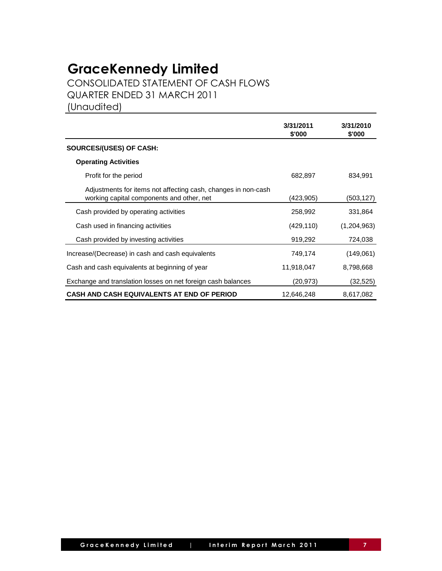CONSOLIDATED STATEMENT OF CASH FLOWS QUARTER ENDED 31 MARCH 2011

(Unaudited)

|                                                                                                            | 3/31/2011<br>\$'000 | 3/31/2010<br>\$'000 |
|------------------------------------------------------------------------------------------------------------|---------------------|---------------------|
| SOURCES/(USES) OF CASH:                                                                                    |                     |                     |
| <b>Operating Activities</b>                                                                                |                     |                     |
| Profit for the period                                                                                      | 682,897             | 834,991             |
| Adjustments for items not affecting cash, changes in non-cash<br>working capital components and other, net | (423,905)           | (503,127)           |
| Cash provided by operating activities                                                                      | 258,992             | 331,864             |
| Cash used in financing activities                                                                          | (429, 110)          | (1,204,963)         |
| Cash provided by investing activities                                                                      | 919,292             | 724,038             |
| Increase/(Decrease) in cash and cash equivalents                                                           | 749,174             | (149,061)           |
| Cash and cash equivalents at beginning of year                                                             | 11,918,047          | 8,798,668           |
| Exchange and translation losses on net foreign cash balances                                               | (20, 973)           | (32,525)            |
| CASH AND CASH EQUIVALENTS AT END OF PERIOD                                                                 | 12,646,248          | 8,617,082           |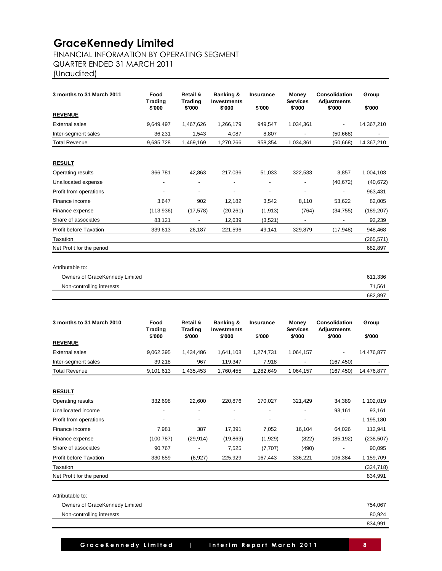### FINANCIAL INFORMATION BY OPERATING SEGMENT

QUARTER ENDED 31 MARCH 2011

(Unaudited)

| 3 months to 31 March 2011     | Food                     | Retail &                 | Banking &                    | <b>Insurance</b>             | Money                     | <b>Consolidation</b>         | Group      |
|-------------------------------|--------------------------|--------------------------|------------------------------|------------------------------|---------------------------|------------------------------|------------|
|                               | <b>Trading</b><br>\$'000 | <b>Trading</b><br>\$'000 | <b>Investments</b><br>\$'000 | \$'000                       | <b>Services</b><br>\$'000 | <b>Adjustments</b><br>\$'000 | \$'000     |
| <b>REVENUE</b>                |                          |                          |                              |                              |                           |                              |            |
| <b>External sales</b>         | 9,649,497                | 1,467,626                | 1,266,179                    | 949,547                      | 1,034,361                 | $\overline{\phantom{0}}$     | 14,367,210 |
| Inter-segment sales           | 36,231                   | 1,543                    | 4,087                        | 8,807                        | -                         | (50, 668)                    |            |
| <b>Total Revenue</b>          | 9,685,728                | 1,469,169                | 1,270,266                    | 958,354                      | 1,034,361                 | (50, 668)                    | 14,367,210 |
| <b>RESULT</b>                 |                          |                          |                              |                              |                           |                              |            |
| Operating results             | 366,781                  | 42,863                   | 217,036                      | 51,033                       | 322,533                   | 3,857                        | 1,004,103  |
| Unallocated expense           | $\blacksquare$           |                          | $\overline{\phantom{a}}$     | $\qquad \qquad \blacksquare$ |                           | (40, 672)                    | (40, 672)  |
| Profit from operations        | -                        | $\overline{\phantom{a}}$ |                              | -                            | -                         |                              | 963,431    |
| Finance income                | 3,647                    | 902                      | 12,182                       | 3,542                        | 8,110                     | 53,622                       | 82,005     |
| Finance expense               | (113,936)                | (17, 578)                | (20, 261)                    | (1, 913)                     | (764)                     | (34, 755)                    | (189, 207) |
| Share of associates           | 83,121                   | $\overline{\phantom{a}}$ | 12,639                       | (3,521)                      |                           |                              | 92,239     |
| <b>Profit before Taxation</b> | 339,613                  | 26,187                   | 221,596                      | 49,141                       | 329,879                   | (17, 948)                    | 948,468    |
| Taxation                      |                          |                          |                              |                              |                           |                              | (265, 571) |
| Net Profit for the period     |                          |                          |                              |                              |                           |                              | 682,897    |

| Owners of GraceKennedy Limited | 611,336 |
|--------------------------------|---------|
| Non-controlling interests      | 71.561  |
|                                | 682,897 |

| Food       | Retail &                 | Banking &                | <b>Insurance</b>   | Money                    | <b>Consolidation</b>              | Group              |
|------------|--------------------------|--------------------------|--------------------|--------------------------|-----------------------------------|--------------------|
| \$'000     | \$'000                   | \$'000                   | \$'000             | \$'000                   | \$'000                            | \$'000             |
|            |                          |                          |                    |                          |                                   |                    |
| 9,062,395  | 1,434,486                | 1,641,108                | 1,274,731          | 1,064,157                |                                   | 14,476,877         |
| 39,218     | 967                      | 119,347                  | 7,918              | $\overline{\phantom{a}}$ | (167, 450)                        |                    |
| 9,101,613  | 1,435,453                | 1,760,455                | 1,282,649          | 1,064,157                | (167, 450)                        | 14,476,877         |
|            |                          |                          |                    |                          |                                   |                    |
|            |                          |                          |                    |                          |                                   |                    |
| 332,698    | 22,600                   | 220,876                  | 170,027            | 321,429                  | 34,389                            | 1,102,019          |
|            |                          | $\overline{\phantom{a}}$ | $\overline{a}$     |                          | 93,161                            | 93,161             |
|            | $\overline{\phantom{a}}$ |                          |                    |                          |                                   | 1,195,180          |
| 7,981      | 387                      | 17,391                   | 7,052              | 16,104                   | 64,026                            | 112,941            |
| (100, 787) | (29, 914)                | (19, 863)                | (1,929)            |                          | (85, 192)                         | (238, 507)         |
| 90,767     | $\overline{\phantom{a}}$ | 7,525                    | (7,707)            |                          |                                   | 90,095             |
| 330,659    | (6,927)                  | 225,929                  | 167,443            | 336,221                  | 106,384                           | 1,159,709          |
|            |                          |                          |                    |                          |                                   | (324, 718)         |
|            |                          |                          |                    |                          |                                   | 834,991            |
|            | <b>Trading</b>           | <b>Trading</b>           | <b>Investments</b> |                          | <b>Services</b><br>(822)<br>(490) | <b>Adjustments</b> |

Attributable to:

| Owners of GraceKennedy Limited | 754.067 |
|--------------------------------|---------|
| Non-controlling interests      | 80.924  |
|                                | 834,991 |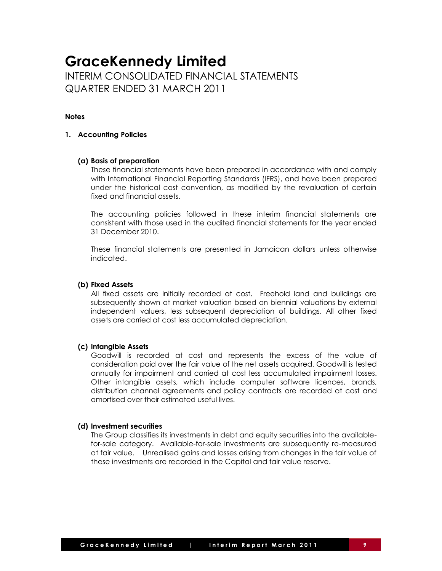## **GraceKennedy Limited** INTERIM CONSOLIDATED FINANCIAL STATEMENTS QUARTER ENDED 31 MARCH 2011

#### **Notes**

#### **1. Accounting Policies**

#### **(a) Basis of preparation**

These financial statements have been prepared in accordance with and comply with International Financial Reporting Standards (IFRS), and have been prepared under the historical cost convention, as modified by the revaluation of certain fixed and financial assets.

The accounting policies followed in these interim financial statements are consistent with those used in the audited financial statements for the year ended 31 December 2010.

These financial statements are presented in Jamaican dollars unless otherwise indicated.

#### **(b) Fixed Assets**

All fixed assets are initially recorded at cost. Freehold land and buildings are subsequently shown at market valuation based on biennial valuations by external independent valuers, less subsequent depreciation of buildings. All other fixed assets are carried at cost less accumulated depreciation.

#### **(c) Intangible Assets**

Goodwill is recorded at cost and represents the excess of the value of consideration paid over the fair value of the net assets acquired. Goodwill is tested annually for impairment and carried at cost less accumulated impairment losses. Other intangible assets, which include computer software licences, brands, distribution channel agreements and policy contracts are recorded at cost and amortised over their estimated useful lives.

#### **(d) Investment securities**

The Group classifies its investments in debt and equity securities into the availablefor-sale category. Available-for-sale investments are subsequently re-measured at fair value. Unrealised gains and losses arising from changes in the fair value of these investments are recorded in the Capital and fair value reserve.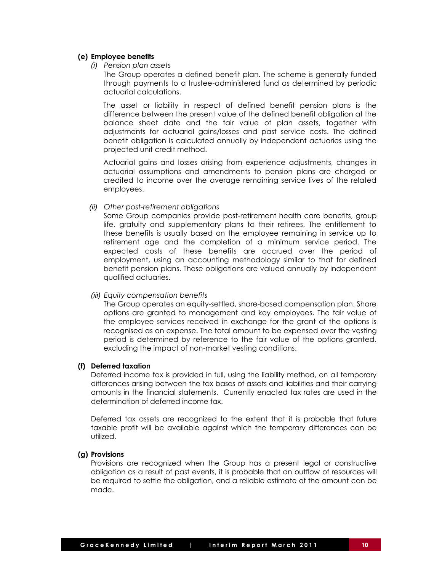#### **(e) Employee benefits**

*(i) Pension plan assets*

The Group operates a defined benefit plan. The scheme is generally funded through payments to a trustee-administered fund as determined by periodic actuarial calculations.

The asset or liability in respect of defined benefit pension plans is the difference between the present value of the defined benefit obligation at the balance sheet date and the fair value of plan assets, together with adjustments for actuarial gains/losses and past service costs. The defined benefit obligation is calculated annually by independent actuaries using the projected unit credit method.

Actuarial gains and losses arising from experience adjustments, changes in actuarial assumptions and amendments to pension plans are charged or credited to income over the average remaining service lives of the related employees.

#### *(ii) Other post-retirement obligations*

Some Group companies provide post-retirement health care benefits, group life, gratuity and supplementary plans to their retirees. The entitlement to these benefits is usually based on the employee remaining in service up to retirement age and the completion of a minimum service period. The expected costs of these benefits are accrued over the period of employment, using an accounting methodology similar to that for defined benefit pension plans. These obligations are valued annually by independent qualified actuaries.

#### *(iii) Equity compensation benefits*

The Group operates an equity-settled, share-based compensation plan. Share options are granted to management and key employees. The fair value of the employee services received in exchange for the grant of the options is recognised as an expense. The total amount to be expensed over the vesting period is determined by reference to the fair value of the options granted, excluding the impact of non-market vesting conditions.

#### **(f) Deferred taxation**

Deferred income tax is provided in full, using the liability method, on all temporary differences arising between the tax bases of assets and liabilities and their carrying amounts in the financial statements. Currently enacted tax rates are used in the determination of deferred income tax.

Deferred tax assets are recognized to the extent that it is probable that future taxable profit will be available against which the temporary differences can be utilized.

#### **(g) Provisions**

Provisions are recognized when the Group has a present legal or constructive obligation as a result of past events, it is probable that an outflow of resources will be required to settle the obligation, and a reliable estimate of the amount can be made.